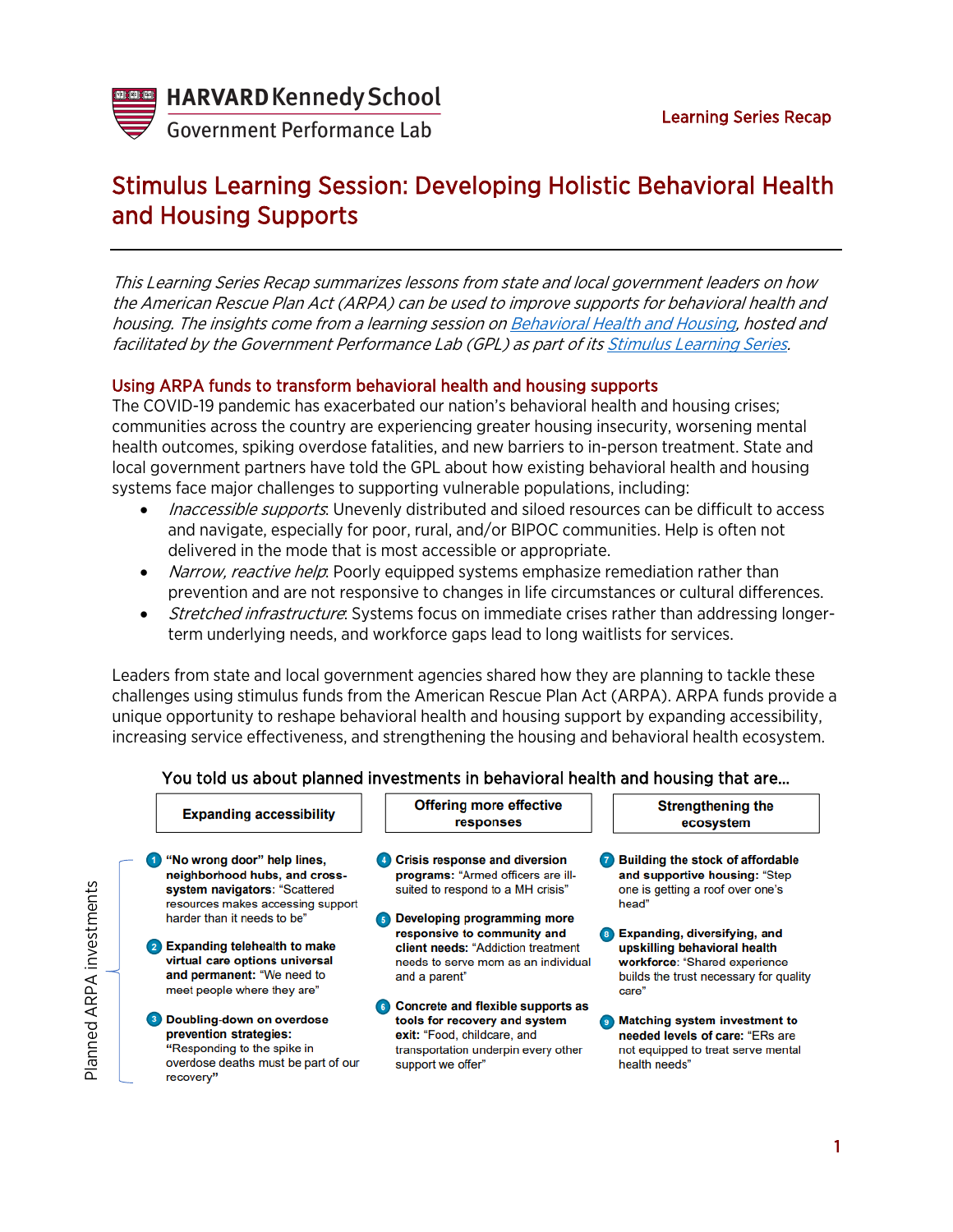

Planned ARPA investments

Planned ARPA investments

**Government Performance Lab** 

# Stimulus Learning Session: Developing Holistic Behavioral Health and Housing Supports

This Learning Series Recap summarizes lessons from state and local government leaders on how the American Rescue Plan Act (ARPA) can be used to improve supports for behavioral health and housing. The insights come from a learning session on [Behavioral Health and Housing,](https://harvard.zoom.us/rec/play/sjuIbcLsQkH6frTG7SHgjwf_YJPCerqFaQI1n-_4aCSo3lwwi4Y_-UaEl-A3I6GzDROtsU_wZOUy97WN.OMWwpce0RzdTaLGR?startTime=1627925546000&_x_zm_rtaid=vIF9jg5BSKaYbbh-6PHzQA.1628057352605.3714514ad8a4e87b3c3bd4ed9fa13c3f&_x_zm_rhtaid=497) hosted and facilitated by the Government Performance Lab (GPL) as part of its [Stimulus Learning Series.](https://govlab.hks.harvard.edu/stimulus-learning-series)

# Using ARPA funds to transform behavioral health and housing supports

The COVID-19 pandemic has exacerbated our nation's behavioral health and housing crises; communities across the country are experiencing greater housing insecurity, worsening mental health outcomes, spiking overdose fatalities, and new barriers to in-person treatment. State and local government partners have told the GPL about how existing behavioral health and housing systems face major challenges to supporting vulnerable populations, including:

- Inaccessible supports. Unevenly distributed and siloed resources can be difficult to access and navigate, especially for poor, rural, and/or BIPOC communities. Help is often not delivered in the mode that is most accessible or appropriate.
- Narrow, reactive help: Poorly equipped systems emphasize remediation rather than prevention and are not responsive to changes in life circumstances or cultural differences.
- *Stretched infrastructure*: Systems focus on immediate crises rather than addressing longerterm underlying needs, and workforce gaps lead to long waitlists for services.

Leaders from state and local government agencies shared how they are planning to tackle these challenges using stimulus funds from the American Rescue Plan Act (ARPA). ARPA funds provide a unique opportunity to reshape behavioral health and housing support by expanding accessibility, increasing service effectiveness, and strengthening the housing and behavioral health ecosystem.

| <b>Expanding accessibility</b>                                                                                                         | <b>Offering more effective</b><br>responses                                                                                                                   |                    | <b>Strengthening the</b><br>ecosystem                                                                                                            |
|----------------------------------------------------------------------------------------------------------------------------------------|---------------------------------------------------------------------------------------------------------------------------------------------------------------|--------------------|--------------------------------------------------------------------------------------------------------------------------------------------------|
| "No wrong door" help lines,<br>neighborhood hubs, and cross-<br>system navigators: "Scattered<br>resources makes accessing support     | 4 Crisis response and diversion<br><b>programs:</b> "Armed officers are ill-<br>suited to respond to a MH crisis"                                             | $\left( 7\right)$  | <b>Building the stock of affordable</b><br>and supportive housing: "Step<br>one is getting a roof over one's<br>head"                            |
| harder than it needs to be"                                                                                                            | Developing programming more                                                                                                                                   |                    |                                                                                                                                                  |
| <b>Expanding telehealth to make</b><br>virtual care options universal<br>and permanent: "We need to<br>meet people where they are"     | responsive to community and<br><b>client needs: "Addiction treatment</b><br>needs to serve mom as an individual<br>and a parent"                              | $\left( 8 \right)$ | Expanding, diversifying, and<br>upskilling behavioral health<br>workforce: "Shared experience<br>builds the trust necessary for quality<br>care" |
| Doubling-down on overdose<br>prevention strategies:<br>"Responding to the spike in<br>overdose deaths must be part of our<br>recovery" | Concrete and flexible supports as<br>tools for recovery and system<br>exit: "Food, childcare, and<br>transportation underpin every other<br>support we offer" |                    | <b>Matching system investment to</b><br>needed levels of care: "ERs are<br>not equipped to treat serve mental<br>health needs"                   |

#### You told us about planned investments in behavioral health and housing that are…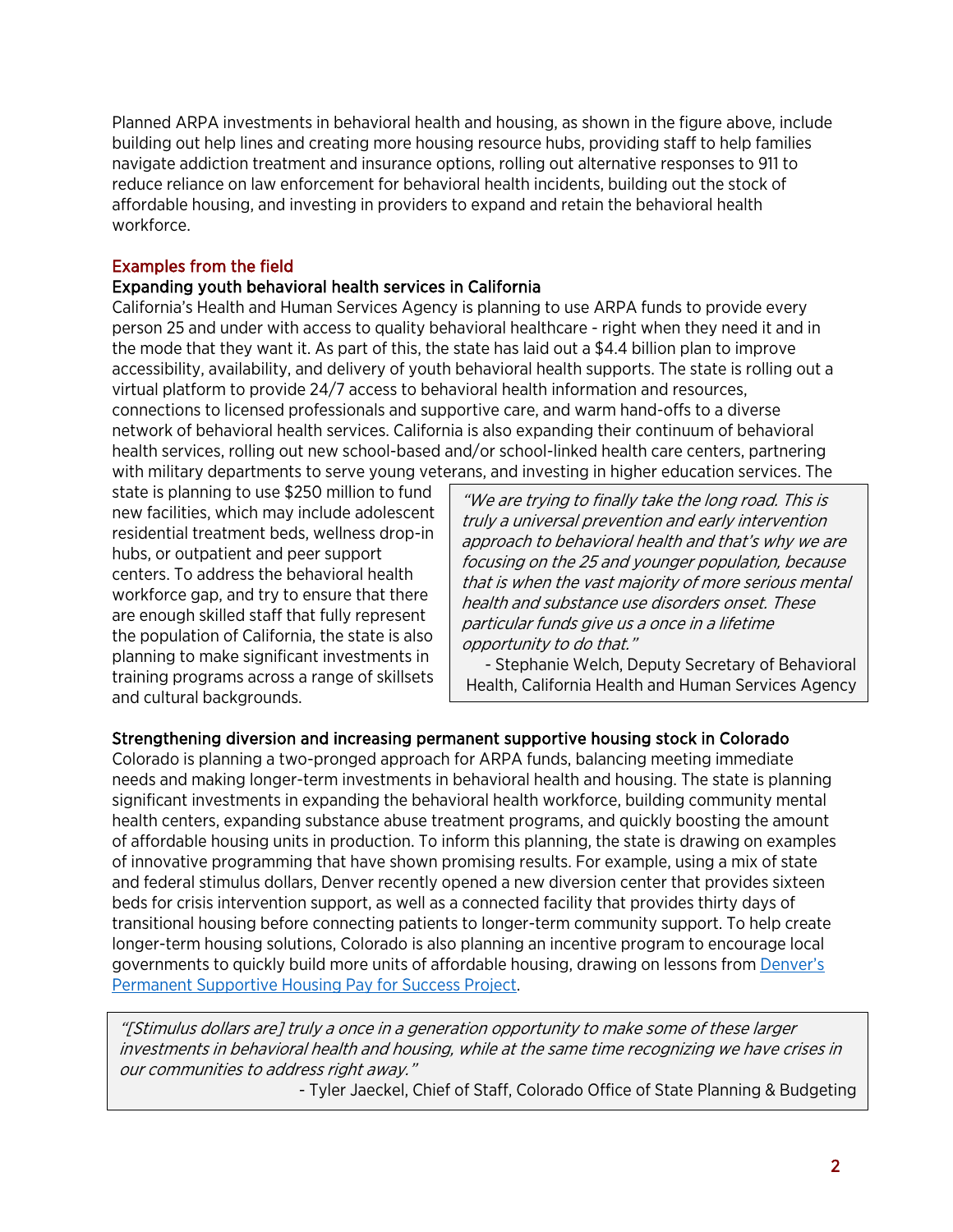Planned ARPA investments in behavioral health and housing, as shown in the figure above, include building out help lines and creating more housing resource hubs, providing staff to help families navigate addiction treatment and insurance options, rolling out alternative responses to 911 to reduce reliance on law enforcement for behavioral health incidents, building out the stock of affordable housing, and investing in providers to expand and retain the behavioral health workforce.

## Examples from the field

#### Expanding youth behavioral health services in California

California's Health and Human Services Agency is planning to use ARPA funds to provide every person 25 and under with access to quality behavioral healthcare - right when they need it and in the mode that they want it. As part of this, the state has laid out a \$4.4 billion plan to improve accessibility, availability, and delivery of youth behavioral health supports. The state is rolling out a virtual platform to provide 24/7 access to behavioral health information and resources, connections to licensed professionals and supportive care, and warm hand-offs to a diverse network of behavioral health services. California is also expanding their continuum of behavioral health services, rolling out new school-based and/or school-linked health care centers, partnering with military departments to serve young veterans, and investing in higher education services. The

state is planning to use \$250 million to fund new facilities, which may include adolescent residential treatment beds, wellness drop-in hubs, or outpatient and peer support centers. To address the behavioral health workforce gap, and try to ensure that there are enough skilled staff that fully represent the population of California, the state is also planning to make significant investments in training programs across a range of skillsets and cultural backgrounds.

"We are trying to finally take the long road. This is truly a universal prevention and early intervention approach to behavioral health and that's why we are focusing on the 25 and younger population, because that is when the vast majority of more serious mental health and substance use disorders onset. These particular funds give us a once in a lifetime opportunity to do that."

- Stephanie Welch, Deputy Secretary of Behavioral Health, California Health and Human Services Agency

# Strengthening diversion and increasing permanent supportive housing stock in Colorado

Colorado is planning a two-pronged approach for ARPA funds, balancing meeting immediate needs and making longer-term investments in behavioral health and housing. The state is planning significant investments in expanding the behavioral health workforce, building community mental health centers, expanding substance abuse treatment programs, and quickly boosting the amount of affordable housing units in production. To inform this planning, the state is drawing on examples of innovative programming that have shown promising results. For example, using a mix of state and federal stimulus dollars, Denver recently opened a new diversion center that provides sixteen beds for crisis intervention support, as well as a connected facility that provides thirty days of transitional housing before connecting patients to longer-term community support. To help create longer-term housing solutions, Colorado is also planning an incentive program to encourage local governments to quickly build more units of affordable housing, drawing on lessons from [Denver's](https://govlab.hks.harvard.edu/denver-permanent-supportive-housing-pay-success)  [Permanent Supportive Housing Pay for Success Project.](https://govlab.hks.harvard.edu/denver-permanent-supportive-housing-pay-success)

"[Stimulus dollars are] truly a once in a generation opportunity to make some of these larger investments in behavioral health and housing, while at the same time recognizing we have crises in our communities to address right away."

- Tyler Jaeckel, Chief of Staff, Colorado Office of State Planning & Budgeting